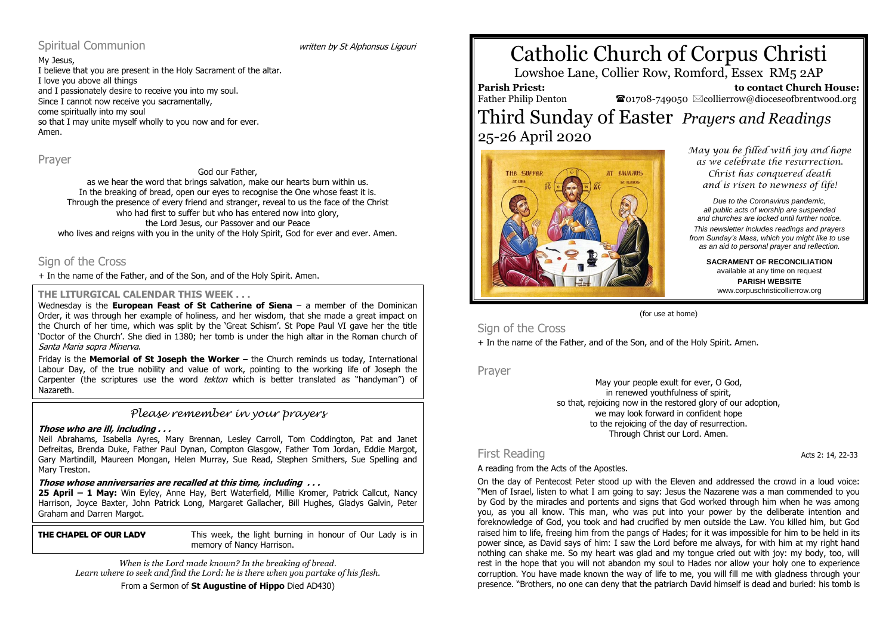# Spiritual Communion written by St Alphonsus Ligouring

#### My Jesus,

I believe that you are present in the Holy Sacrament of the altar. I love you above all things and I passionately desire to receive you into my soul. Since I cannot now receive you sacramentally, come spiritually into my soul so that I may unite myself wholly to you now and for ever. Amen.

## Prayer

God our Father, as we hear the word that brings salvation, make our hearts burn within us. In the breaking of bread, open our eyes to recognise the One whose feast it is. Through the presence of every friend and stranger, reveal to us the face of the Christ who had first to suffer but who has entered now into glory. the Lord Jesus, our Passover and our Peace who lives and reigns with you in the unity of the Holy Spirit, God for ever and ever. Amen.

# Sign of the Cross

+ In the name of the Father, and of the Son, and of the Holy Spirit. Amen.

### **THE LITURGICAL CALENDAR THIS WEEK . . .**

Wednesday is the **European Feast of St Catherine of Siena** – a member of the Dominican Order, it was through her example of holiness, and her wisdom, that she made a great impact on the Church of her time, which was split by the 'Great Schism'. St Pope Paul VI gave her the title 'Doctor of the Church'. She died in 1380; her tomb is under the high altar in the Roman church of Santa Maria sopra Minerva.

Friday is the **Memorial of St Joseph the Worker** – the Church reminds us today, International Labour Day, of the true nobility and value of work, pointing to the working life of Joseph the Carpenter (the scriptures use the word *tekton* which is better translated as "handyman") of Nazareth.

# *Please remember in your prayers*

### **Those who are ill, including . . .**

Neil Abrahams, Isabella Ayres, Mary Brennan, Lesley Carroll, Tom Coddington, Pat and Janet Defreitas, Brenda Duke, Father Paul Dynan, Compton Glasgow, Father Tom Jordan, Eddie Margot, Gary Martindill, Maureen Mongan, Helen Murray, Sue Read, Stephen Smithers, Sue Spelling and Mary Treston.

# **Those whose anniversaries are recalled at this time, including . . .**

**25 April – 1 May:** Win Eyley, Anne Hay, Bert Waterfield, Millie Kromer, Patrick Callcut, Nancy Harrison, Joyce Baxter, John Patrick Long, Margaret Gallacher, Bill Hughes, Gladys Galvin, Peter Graham and Darren Margot.

**THE CHAPEL OF OUR LADY** This week, the light burning in honour of Our Lady is in memory of Nancy Harrison.

*When is the Lord made known? In the breaking of bread. Learn where to seek and find the Lord: he is there when you partake of his flesh.*

From a Sermon of **St Augustine of Hippo** Died AD430)

# Catholic Church of Corpus Christi

Lowshoe Lane, Collier Row, Romford, Essex RM5 2AP

#### **Parish Priest:** Father Philip Denton

 **to contact Church House:**  $\bullet$ 01708-749050  $\boxtimes$ collierrow@dioceseofbrentwood.org

# Third Sunday of Easter *Prayers and Readings* 25-26 April 2020



*May you be filled with joy and hope as we celebrate the resurrection. Christ has conquered death and is risen to newness of life!*

*Due to the Coronavirus pandemic, all public acts of worship are suspended and churches are locked until further notice.*

*This newsletter includes readings and prayers from Sunday's Mass, which you might like to use as an aid to personal prayer and reflection.*

> **SACRAMENT OF RECONCILIATION** available at any time on request **PARISH WEBSITE** www.corpuschristicollierrow.org

(for use at home)

Sign of the Cross

+ In the name of the Father, and of the Son, and of the Holy Spirit. Amen.

Prayer

May your people exult for ever, O God, in renewed youthfulness of spirit, so that, rejoicing now in the restored glory of our adoption, we may look forward in confident hope to the rejoicing of the day of resurrection. Through Christ our Lord. Amen.

# First Reading **Acts** 2: 14, 22-33

A reading from the Acts of the Apostles.

On the day of Pentecost Peter stood up with the Eleven and addressed the crowd in a loud voice: "Men of Israel, listen to what I am going to say: Jesus the Nazarene was a man commended to you by God by the miracles and portents and signs that God worked through him when he was among you, as you all know. This man, who was put into your power by the deliberate intention and foreknowledge of God, you took and had crucified by men outside the Law. You killed him, but God raised him to life, freeing him from the pangs of Hades; for it was impossible for him to be held in its power since, as David says of him: I saw the Lord before me always, for with him at my right hand nothing can shake me. So my heart was glad and my tongue cried out with joy: my body, too, will rest in the hope that you will not abandon my soul to Hades nor allow your holy one to experience corruption. You have made known the way of life to me, you will fill me with gladness through your presence. "Brothers, no one can deny that the patriarch David himself is dead and buried: his tomb is